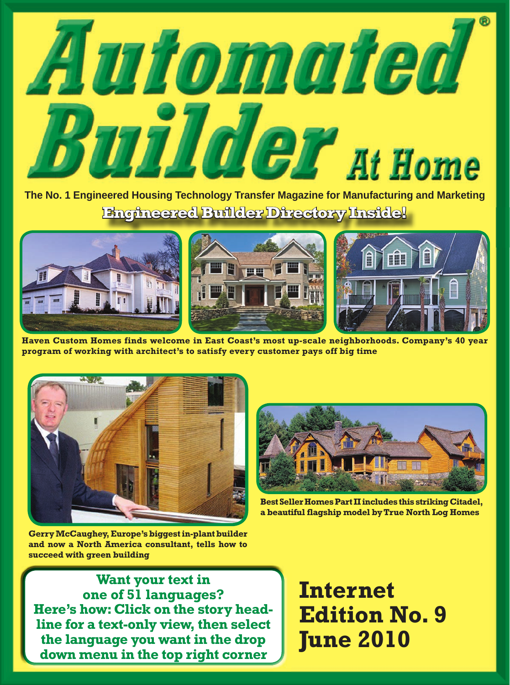

**The No. 1 Engineered Housing Technology Transfer Magazine for Manufacturing and Marketing Engineered Builder Directory Inside!**



**Haven Custom Homes finds welcome in East Coast's most up-scale neighborhoods. Company's 40 year program of working with architect's to satisfy every customer pays off big time**





**Best Seller Homes Part II includes this striking Citadel, a beautiful flagship model by True North Log Homes**

**Gerry McCaughey, Europe's biggest in-plant builder and now a North America consultant, tells how to succeed with green building**

**Want your text in one of 51 languages? Here's how: Click on the story headline for a text-only view, then select the language you want in the drop down menu in the top right corner**

**Internet Edition No. 9 June 2010**